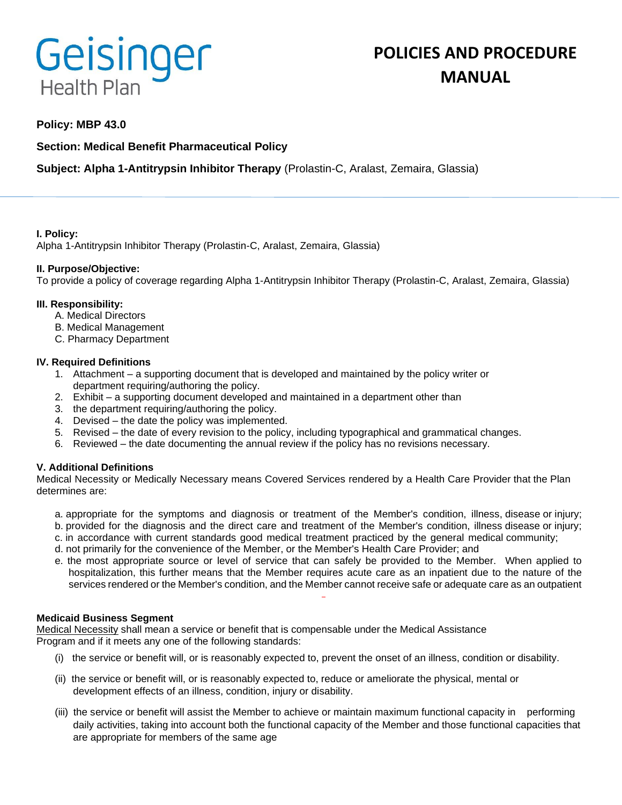# Geisinger **Health Plan**

# **POLICIES AND PROCEDURE MANUAL**

### **Policy: MBP 43.0**

## **Section: Medical Benefit Pharmaceutical Policy**

# **Subject: Alpha 1-Antitrypsin Inhibitor Therapy** (Prolastin-C, Aralast, Zemaira, Glassia)

#### **I. Policy:**

Alpha 1-Antitrypsin Inhibitor Therapy (Prolastin-C, Aralast, Zemaira, Glassia)

#### **II. Purpose/Objective:**

To provide a policy of coverage regarding Alpha 1-Antitrypsin Inhibitor Therapy (Prolastin-C, Aralast, Zemaira, Glassia)

#### **III. Responsibility:**

- A. Medical Directors
- B. Medical Management
- C. Pharmacy Department

#### **IV. Required Definitions**

- 1. Attachment a supporting document that is developed and maintained by the policy writer or department requiring/authoring the policy.
- 2. Exhibit a supporting document developed and maintained in a department other than
- 3. the department requiring/authoring the policy.
- 4. Devised the date the policy was implemented.
- 5. Revised the date of every revision to the policy, including typographical and grammatical changes.
- 6. Reviewed the date documenting the annual review if the policy has no revisions necessary.

#### **V. Additional Definitions**

Medical Necessity or Medically Necessary means Covered Services rendered by a Health Care Provider that the Plan determines are:

- a. appropriate for the symptoms and diagnosis or treatment of the Member's condition, illness, disease or injury; b. provided for the diagnosis and the direct care and treatment of the Member's condition, illness disease or injury;
- c. in accordance with current standards good medical treatment practiced by the general medical community;
- d. not primarily for the convenience of the Member, or the Member's Health Care Provider; and
- e. the most appropriate source or level of service that can safely be provided to the Member. When applied to hospitalization, this further means that the Member requires acute care as an inpatient due to the nature of the services rendered or the Member's condition, and the Member cannot receive safe or adequate care as an outpatient

#### **Medicaid Business Segment**

Medical Necessity shall mean a service or benefit that is compensable under the Medical Assistance Program and if it meets any one of the following standards:

- (i) the service or benefit will, or is reasonably expected to, prevent the onset of an illness, condition or disability.
- (ii) the service or benefit will, or is reasonably expected to, reduce or ameliorate the physical, mental or development effects of an illness, condition, injury or disability.
- (iii) the service or benefit will assist the Member to achieve or maintain maximum functional capacity in performing daily activities, taking into account both the functional capacity of the Member and those functional capacities that are appropriate for members of the same age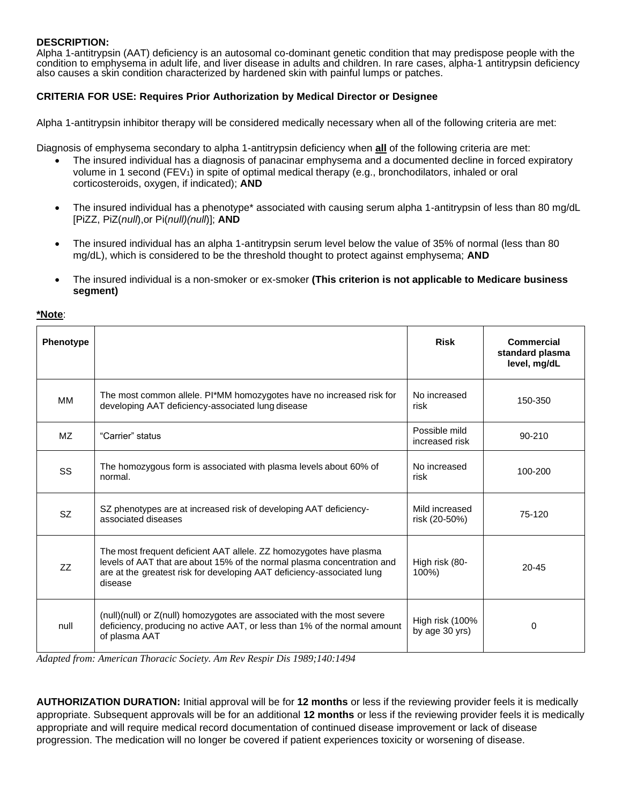#### **DESCRIPTION:**

Alpha 1-antitrypsin (AAT) deficiency is an autosomal co-dominant genetic condition that may predispose people with the condition to emphysema in adult life, and liver disease in adults and children. In rare cases, alpha-1 antitrypsin deficiency also causes a skin condition characterized by hardened skin with painful lumps or patches.

#### **CRITERIA FOR USE: Requires Prior Authorization by Medical Director or Designee**

Alpha 1-antitrypsin inhibitor therapy will be considered medically necessary when all of the following criteria are met:

Diagnosis of emphysema secondary to alpha 1-antitrypsin deficiency when **all** of the following criteria are met:

- The insured individual has a diagnosis of panacinar emphysema and a documented decline in forced expiratory volume in 1 second (FEV<sub>1</sub>) in spite of optimal medical therapy (e.g., bronchodilators, inhaled or oral corticosteroids, oxygen, if indicated); **AND**
- The insured individual has a phenotype\* associated with causing serum alpha 1-antitrypsin of less than 80 mg/dL [PiZZ, PiZ(*null*),or Pi(*null)(null*)]; **AND**
- The insured individual has an alpha 1-antitrypsin serum level below the value of 35% of normal (less than 80 mg/dL), which is considered to be the threshold thought to protect against emphysema; **AND**
- The insured individual is a non-smoker or ex-smoker **(This criterion is not applicable to Medicare business segment)**

#### **\*Note**:

| Phenotype |                                                                                                                                                                                                                                    | <b>Risk</b>                       | <b>Commercial</b><br>standard plasma<br>level, mg/dL |
|-----------|------------------------------------------------------------------------------------------------------------------------------------------------------------------------------------------------------------------------------------|-----------------------------------|------------------------------------------------------|
| MM        | The most common allele. Pl*MM homozygotes have no increased risk for<br>developing AAT deficiency-associated lung disease                                                                                                          | No increased<br>risk              | 150-350                                              |
| MZ.       | "Carrier" status                                                                                                                                                                                                                   | Possible mild<br>increased risk   | 90-210                                               |
| SS        | The homozygous form is associated with plasma levels about 60% of<br>normal.                                                                                                                                                       | No increased<br>risk              | 100-200                                              |
| <b>SZ</b> | SZ phenotypes are at increased risk of developing AAT deficiency-<br>associated diseases                                                                                                                                           | Mild increased<br>risk (20-50%)   | 75-120                                               |
| ZZ        | The most frequent deficient AAT allele. ZZ homozygotes have plasma<br>levels of AAT that are about 15% of the normal plasma concentration and<br>are at the greatest risk for developing AAT deficiency-associated lung<br>disease | High risk (80-<br>100%)           | $20 - 45$                                            |
| null      | (null)(null) or Z(null) homozygotes are associated with the most severe<br>deficiency, producing no active AAT, or less than 1% of the normal amount<br>of plasma AAT                                                              | High risk (100%<br>by age 30 yrs) | 0                                                    |

*Adapted from: American Thoracic Society. Am Rev Respir Dis 1989;140:1494*

**AUTHORIZATION DURATION:** Initial approval will be for **12 months** or less if the reviewing provider feels it is medically appropriate. Subsequent approvals will be for an additional **12 months** or less if the reviewing provider feels it is medically appropriate and will require medical record documentation of continued disease improvement or lack of disease progression. The medication will no longer be covered if patient experiences toxicity or worsening of disease.